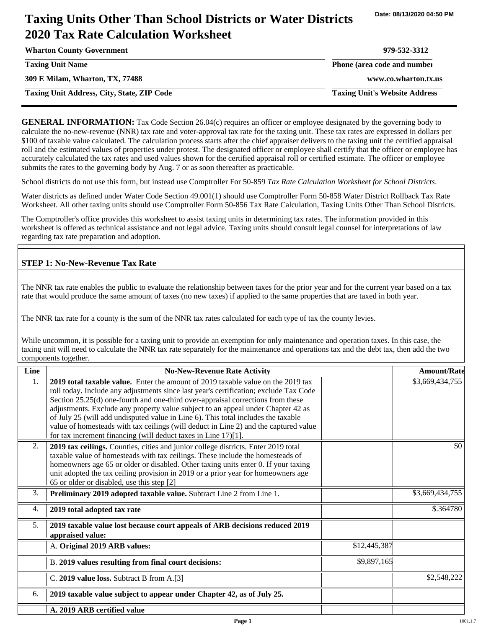# **Taxing Units Other Than School Districts or Water Districts 2020 Tax Rate Calculation Worksheet**

| <b>Wharton County Government</b>                  | 979-532-3312                         |
|---------------------------------------------------|--------------------------------------|
| <b>Taxing Unit Name</b>                           | Phone (area code and number          |
| 309 E Milam, Wharton, TX, 77488                   | www.co.wharton.tx.us                 |
| <b>Taxing Unit Address, City, State, ZIP Code</b> | <b>Taxing Unit's Website Address</b> |

**GENERAL INFORMATION:** Tax Code Section 26.04(c) requires an officer or employee designated by the governing body to calculate the no-new-revenue (NNR) tax rate and voter-approval tax rate for the taxing unit. These tax rates are expressed in dollars per \$100 of taxable value calculated. The calculation process starts after the chief appraiser delivers to the taxing unit the certified appraisal roll and the estimated values of properties under protest. The designated officer or employee shall certify that the officer or employee has accurately calculated the tax rates and used values shown for the certified appraisal roll or certified estimate. The officer or employee submits the rates to the governing body by Aug. 7 or as soon thereafter as practicable.

School districts do not use this form, but instead use Comptroller For 50-859 *Tax Rate Calculation Worksheet for School Districts*.

Water districts as defined under Water Code Section 49.001(1) should use Comptroller Form 50-858 Water District Rollback Tax Rate Worksheet. All other taxing units should use Comptroller Form 50-856 Tax Rate Calculation, Taxing Units Other Than School Districts.

The Comptroller's office provides this worksheet to assist taxing units in determining tax rates. The information provided in this worksheet is offered as technical assistance and not legal advice. Taxing units should consult legal counsel for interpretations of law regarding tax rate preparation and adoption.

### **STEP 1: No-New-Revenue Tax Rate**

The NNR tax rate enables the public to evaluate the relationship between taxes for the prior year and for the current year based on a tax rate that would produce the same amount of taxes (no new taxes) if applied to the same properties that are taxed in both year.

The NNR tax rate for a county is the sum of the NNR tax rates calculated for each type of tax the county levies.

While uncommon, it is possible for a taxing unit to provide an exemption for only maintenance and operation taxes. In this case, the taxing unit will need to calculate the NNR tax rate separately for the maintenance and operations tax and the debt tax, then add the two components together.

| Line             | <b>No-New-Revenue Rate Activity</b>                                                                                                                                                                                                                                                                                                                                                                                                                                                                                                                                                             |              | <b>Amount/Rate</b> |
|------------------|-------------------------------------------------------------------------------------------------------------------------------------------------------------------------------------------------------------------------------------------------------------------------------------------------------------------------------------------------------------------------------------------------------------------------------------------------------------------------------------------------------------------------------------------------------------------------------------------------|--------------|--------------------|
| 1.               | 2019 total taxable value. Enter the amount of 2019 taxable value on the 2019 tax<br>roll today. Include any adjustments since last year's certification; exclude Tax Code<br>Section 25.25(d) one-fourth and one-third over-appraisal corrections from these<br>adjustments. Exclude any property value subject to an appeal under Chapter 42 as<br>of July 25 (will add undisputed value in Line 6). This total includes the taxable<br>value of homesteads with tax ceilings (will deduct in Line 2) and the captured value<br>for tax increment financing (will deduct taxes in Line 17)[1]. |              | \$3,669,434,755    |
| 2.               | 2019 tax ceilings. Counties, cities and junior college districts. Enter 2019 total<br>taxable value of homesteads with tax ceilings. These include the homesteads of<br>homeowners age 65 or older or disabled. Other taxing units enter 0. If your taxing<br>unit adopted the tax ceiling provision in 2019 or a prior year for homeowners age<br>65 or older or disabled, use this step [2]                                                                                                                                                                                                   |              | \$0                |
| 3.               | Preliminary 2019 adopted taxable value. Subtract Line 2 from Line 1.                                                                                                                                                                                                                                                                                                                                                                                                                                                                                                                            |              | \$3,669,434,755    |
| $\overline{4}$ . | 2019 total adopted tax rate                                                                                                                                                                                                                                                                                                                                                                                                                                                                                                                                                                     |              | \$.364780          |
| 5.               | 2019 taxable value lost because court appeals of ARB decisions reduced 2019<br>appraised value:                                                                                                                                                                                                                                                                                                                                                                                                                                                                                                 |              |                    |
|                  | A. Original 2019 ARB values:                                                                                                                                                                                                                                                                                                                                                                                                                                                                                                                                                                    | \$12,445,387 |                    |
|                  | B. 2019 values resulting from final court decisions:                                                                                                                                                                                                                                                                                                                                                                                                                                                                                                                                            | \$9,897,165  |                    |
|                  | C. 2019 value loss. Subtract B from A.[3]                                                                                                                                                                                                                                                                                                                                                                                                                                                                                                                                                       |              | \$2,548,222        |
| 6.               | 2019 taxable value subject to appear under Chapter 42, as of July 25.                                                                                                                                                                                                                                                                                                                                                                                                                                                                                                                           |              |                    |
|                  | A. 2019 ARB certified value                                                                                                                                                                                                                                                                                                                                                                                                                                                                                                                                                                     |              |                    |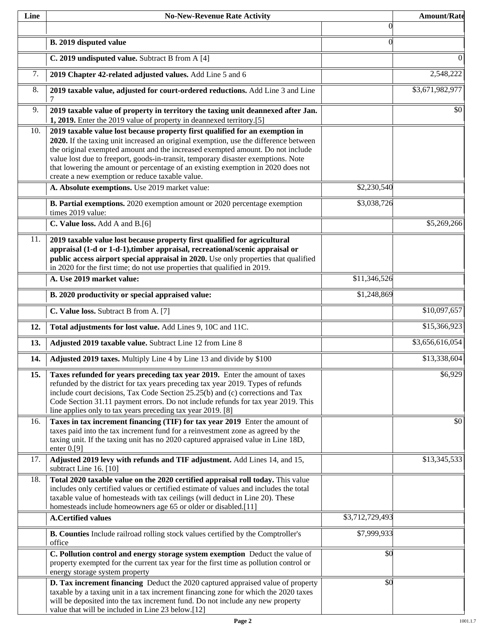| Line | <b>No-New-Revenue Rate Activity</b>                                                                                                                                                                                                                                                                                                                                                                                                                                                |                 | <b>Amount/Rate</b> |
|------|------------------------------------------------------------------------------------------------------------------------------------------------------------------------------------------------------------------------------------------------------------------------------------------------------------------------------------------------------------------------------------------------------------------------------------------------------------------------------------|-----------------|--------------------|
|      |                                                                                                                                                                                                                                                                                                                                                                                                                                                                                    | $\theta$        |                    |
|      | B. 2019 disputed value                                                                                                                                                                                                                                                                                                                                                                                                                                                             | $\Omega$        |                    |
|      | C. 2019 undisputed value. Subtract B from A [4]                                                                                                                                                                                                                                                                                                                                                                                                                                    |                 | $\theta$           |
| 7.   | 2019 Chapter 42-related adjusted values. Add Line 5 and 6                                                                                                                                                                                                                                                                                                                                                                                                                          |                 | 2,548,222          |
| 8.   | 2019 taxable value, adjusted for court-ordered reductions. Add Line 3 and Line<br>7                                                                                                                                                                                                                                                                                                                                                                                                |                 | \$3,671,982,977    |
| 9.   | 2019 taxable value of property in territory the taxing unit deannexed after Jan.<br>1, 2019. Enter the 2019 value of property in deannexed territory.[5]                                                                                                                                                                                                                                                                                                                           |                 | \$0                |
| 10.  | 2019 taxable value lost because property first qualified for an exemption in<br>2020. If the taxing unit increased an original exemption, use the difference between<br>the original exempted amount and the increased exempted amount. Do not include<br>value lost due to freeport, goods-in-transit, temporary disaster exemptions. Note<br>that lowering the amount or percentage of an existing exemption in 2020 does not<br>create a new exemption or reduce taxable value. |                 |                    |
|      | A. Absolute exemptions. Use 2019 market value:                                                                                                                                                                                                                                                                                                                                                                                                                                     | \$2,230,540     |                    |
|      | B. Partial exemptions. 2020 exemption amount or 2020 percentage exemption<br>times 2019 value:                                                                                                                                                                                                                                                                                                                                                                                     | \$3,038,726     |                    |
|      | C. Value loss. Add A and B.[6]                                                                                                                                                                                                                                                                                                                                                                                                                                                     |                 | \$5,269,266        |
| 11.  | 2019 taxable value lost because property first qualified for agricultural<br>appraisal (1-d or 1-d-1), timber appraisal, recreational/scenic appraisal or<br>public access airport special appraisal in 2020. Use only properties that qualified<br>in 2020 for the first time; do not use properties that qualified in 2019.                                                                                                                                                      |                 |                    |
|      | A. Use 2019 market value:                                                                                                                                                                                                                                                                                                                                                                                                                                                          | \$11,346,526    |                    |
|      | B. 2020 productivity or special appraised value:                                                                                                                                                                                                                                                                                                                                                                                                                                   | \$1,248,869     |                    |
|      | C. Value loss. Subtract B from A. [7]                                                                                                                                                                                                                                                                                                                                                                                                                                              |                 | \$10,097,657       |
| 12.  | Total adjustments for lost value. Add Lines 9, 10C and 11C.                                                                                                                                                                                                                                                                                                                                                                                                                        |                 | \$15,366,923       |
| 13.  | Adjusted 2019 taxable value. Subtract Line 12 from Line 8                                                                                                                                                                                                                                                                                                                                                                                                                          |                 | \$3,656,616,054    |
| 14.  | Adjusted 2019 taxes. Multiply Line 4 by Line 13 and divide by \$100                                                                                                                                                                                                                                                                                                                                                                                                                |                 | \$13,338,604       |
| 15.  | Taxes refunded for years preceding tax year 2019. Enter the amount of taxes<br>refunded by the district for tax years preceding tax year 2019. Types of refunds<br>include court decisions, Tax Code Section 25.25(b) and (c) corrections and Tax<br>Code Section 31.11 payment errors. Do not include refunds for tax year 2019. This<br>line applies only to tax years preceding tax year 2019. [8]                                                                              |                 | \$6,929            |
| 16.  | Taxes in tax increment financing (TIF) for tax year 2019 Enter the amount of<br>taxes paid into the tax increment fund for a reinvestment zone as agreed by the<br>taxing unit. If the taxing unit has no 2020 captured appraised value in Line 18D,<br>enter $0.9$ ]                                                                                                                                                                                                              |                 | \$0                |
| 17.  | Adjusted 2019 levy with refunds and TIF adjustment. Add Lines 14, and 15,<br>subtract Line 16. [10]                                                                                                                                                                                                                                                                                                                                                                                |                 | \$13,345,533       |
| 18.  | Total 2020 taxable value on the 2020 certified appraisal roll today. This value<br>includes only certified values or certified estimate of values and includes the total<br>taxable value of homesteads with tax ceilings (will deduct in Line 20). These<br>homesteads include homeowners age 65 or older or disabled.[11]                                                                                                                                                        |                 |                    |
|      | <b>A.Certified values</b>                                                                                                                                                                                                                                                                                                                                                                                                                                                          | \$3,712,729,493 |                    |
|      | B. Counties Include railroad rolling stock values certified by the Comptroller's<br>office                                                                                                                                                                                                                                                                                                                                                                                         | \$7,999,933     |                    |
|      | C. Pollution control and energy storage system exemption Deduct the value of<br>property exempted for the current tax year for the first time as pollution control or<br>energy storage system property                                                                                                                                                                                                                                                                            | \$0             |                    |
|      | D. Tax increment financing Deduct the 2020 captured appraised value of property<br>taxable by a taxing unit in a tax increment financing zone for which the 2020 taxes<br>will be deposited into the tax increment fund. Do not include any new property<br>value that will be included in Line 23 below.[12]                                                                                                                                                                      | \$0             |                    |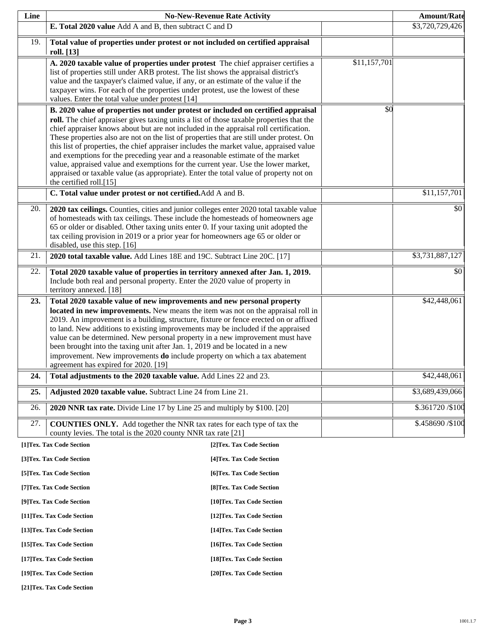| Line |                                                                                                                                                                                                                                                                                                                                                                                                                                                                                                                                                                                                                                                                                                                                                        | <b>No-New-Revenue Rate Activity</b> |              | <b>Amount/Rate</b> |
|------|--------------------------------------------------------------------------------------------------------------------------------------------------------------------------------------------------------------------------------------------------------------------------------------------------------------------------------------------------------------------------------------------------------------------------------------------------------------------------------------------------------------------------------------------------------------------------------------------------------------------------------------------------------------------------------------------------------------------------------------------------------|-------------------------------------|--------------|--------------------|
|      | E. Total 2020 value Add A and B, then subtract C and D                                                                                                                                                                                                                                                                                                                                                                                                                                                                                                                                                                                                                                                                                                 |                                     |              | \$3,720,729,426    |
| 19.  | Total value of properties under protest or not included on certified appraisal<br>roll. [13]                                                                                                                                                                                                                                                                                                                                                                                                                                                                                                                                                                                                                                                           |                                     |              |                    |
|      | A. 2020 taxable value of properties under protest The chief appraiser certifies a<br>list of properties still under ARB protest. The list shows the appraisal district's<br>value and the taxpayer's claimed value, if any, or an estimate of the value if the<br>taxpayer wins. For each of the properties under protest, use the lowest of these<br>values. Enter the total value under protest [14]                                                                                                                                                                                                                                                                                                                                                 |                                     | \$11,157,701 |                    |
|      | B. 2020 value of properties not under protest or included on certified appraisal<br>roll. The chief appraiser gives taxing units a list of those taxable properties that the<br>chief appraiser knows about but are not included in the appraisal roll certification.<br>These properties also are not on the list of properties that are still under protest. On<br>this list of properties, the chief appraiser includes the market value, appraised value<br>and exemptions for the preceding year and a reasonable estimate of the market<br>value, appraised value and exemptions for the current year. Use the lower market,<br>appraised or taxable value (as appropriate). Enter the total value of property not on<br>the certified roll.[15] |                                     | \$0          |                    |
|      | C. Total value under protest or not certified. Add A and B.                                                                                                                                                                                                                                                                                                                                                                                                                                                                                                                                                                                                                                                                                            |                                     |              | \$11,157,701       |
| 20.  | 2020 tax ceilings. Counties, cities and junior colleges enter 2020 total taxable value<br>of homesteads with tax ceilings. These include the homesteads of homeowners age<br>65 or older or disabled. Other taxing units enter 0. If your taxing unit adopted the<br>tax ceiling provision in 2019 or a prior year for homeowners age 65 or older or<br>disabled, use this step. [16]                                                                                                                                                                                                                                                                                                                                                                  |                                     |              | \$0                |
| 21.  | 2020 total taxable value. Add Lines 18E and 19C. Subtract Line 20C. [17]                                                                                                                                                                                                                                                                                                                                                                                                                                                                                                                                                                                                                                                                               |                                     |              | \$3,731,887,127    |
| 22.  | Total 2020 taxable value of properties in territory annexed after Jan. 1, 2019.<br>Include both real and personal property. Enter the 2020 value of property in<br>territory annexed. [18]                                                                                                                                                                                                                                                                                                                                                                                                                                                                                                                                                             |                                     |              | \$0                |
| 23.  | Total 2020 taxable value of new improvements and new personal property<br>located in new improvements. New means the item was not on the appraisal roll in<br>2019. An improvement is a building, structure, fixture or fence erected on or affixed<br>to land. New additions to existing improvements may be included if the appraised<br>value can be determined. New personal property in a new improvement must have<br>been brought into the taxing unit after Jan. 1, 2019 and be located in a new<br>improvement. New improvements <b>do</b> include property on which a tax abatement<br>agreement has expired for 2020. [19]                                                                                                                  |                                     |              | \$42,448,061       |
| 24.  | Total adjustments to the 2020 taxable value. Add Lines 22 and 23.                                                                                                                                                                                                                                                                                                                                                                                                                                                                                                                                                                                                                                                                                      |                                     |              | \$42,448,061       |
| 25.  | Adjusted 2020 taxable value. Subtract Line 24 from Line 21.                                                                                                                                                                                                                                                                                                                                                                                                                                                                                                                                                                                                                                                                                            |                                     |              | \$3,689,439,066    |
| 26.  | 2020 NNR tax rate. Divide Line 17 by Line 25 and multiply by \$100. [20]                                                                                                                                                                                                                                                                                                                                                                                                                                                                                                                                                                                                                                                                               |                                     |              | \$.361720/\$100    |
| 27.  | <b>COUNTIES ONLY.</b> Add together the NNR tax rates for each type of tax the<br>county levies. The total is the 2020 county NNR tax rate [21]                                                                                                                                                                                                                                                                                                                                                                                                                                                                                                                                                                                                         |                                     |              | \$.458690 / \$100  |
|      | [1]Tex. Tax Code Section                                                                                                                                                                                                                                                                                                                                                                                                                                                                                                                                                                                                                                                                                                                               | [2]Tex. Tax Code Section            |              |                    |
|      | [3]Tex. Tax Code Section                                                                                                                                                                                                                                                                                                                                                                                                                                                                                                                                                                                                                                                                                                                               | [4] Tex. Tax Code Section           |              |                    |
|      | [5] Tex. Tax Code Section                                                                                                                                                                                                                                                                                                                                                                                                                                                                                                                                                                                                                                                                                                                              | [6] Tex. Tax Code Section           |              |                    |
|      | [7] Tex. Tax Code Section                                                                                                                                                                                                                                                                                                                                                                                                                                                                                                                                                                                                                                                                                                                              | [8] Tex. Tax Code Section           |              |                    |
|      | [9]Tex. Tax Code Section                                                                                                                                                                                                                                                                                                                                                                                                                                                                                                                                                                                                                                                                                                                               | [10]Tex. Tax Code Section           |              |                    |
|      | [11]Tex. Tax Code Section                                                                                                                                                                                                                                                                                                                                                                                                                                                                                                                                                                                                                                                                                                                              | [12]Tex. Tax Code Section           |              |                    |

**[13]Tex. Tax Code Section [14]Tex. Tax Code Section** 

**[15]Tex. Tax Code Section [16]Tex. Tax Code Section** 

**[17]Tex. Tax Code Section [18]Tex. Tax Code Section** 

**[19]Tex. Tax Code Section [20]Tex. Tax Code Section** 

**[21]Tex. Tax Code Section**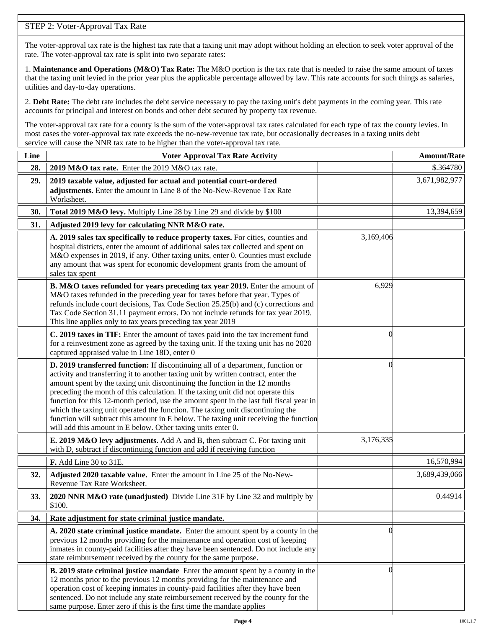# STEP 2: Voter-Approval Tax Rate

The voter-approval tax rate is the highest tax rate that a taxing unit may adopt without holding an election to seek voter approval of the rate. The voter-approval tax rate is split into two separate rates:

1. **Maintenance and Operations (M&O) Tax Rate:** The M&O portion is the tax rate that is needed to raise the same amount of taxes that the taxing unit levied in the prior year plus the applicable percentage allowed by law. This rate accounts for such things as salaries, utilities and day-to-day operations.

2. **Debt Rate:** The debt rate includes the debt service necessary to pay the taxing unit's debt payments in the coming year. This rate accounts for principal and interest on bonds and other debt secured by property tax revenue.

The voter-approval tax rate for a county is the sum of the voter-approval tax rates calculated for each type of tax the county levies. In most cases the voter-approval tax rate exceeds the no-new-revenue tax rate, but occasionally decreases in a taxing units debt service will cause the NNR tax rate to be higher than the voter-approval tax rate.

| Line | <b>Voter Approval Tax Rate Activity</b>                                                                                                                                                                                                                                                                                                                                                                                                                                                                                                                                                                                                                                        |           | <b>Amount/Rate</b> |
|------|--------------------------------------------------------------------------------------------------------------------------------------------------------------------------------------------------------------------------------------------------------------------------------------------------------------------------------------------------------------------------------------------------------------------------------------------------------------------------------------------------------------------------------------------------------------------------------------------------------------------------------------------------------------------------------|-----------|--------------------|
| 28.  | 2019 M&O tax rate. Enter the 2019 M&O tax rate.                                                                                                                                                                                                                                                                                                                                                                                                                                                                                                                                                                                                                                |           | \$.364780          |
| 29.  | 2019 taxable value, adjusted for actual and potential court-ordered<br>adjustments. Enter the amount in Line 8 of the No-New-Revenue Tax Rate<br>Worksheet.                                                                                                                                                                                                                                                                                                                                                                                                                                                                                                                    |           | 3,671,982,977      |
| 30.  | Total 2019 M&O levy. Multiply Line 28 by Line 29 and divide by \$100                                                                                                                                                                                                                                                                                                                                                                                                                                                                                                                                                                                                           |           | 13,394,659         |
| 31.  | Adjusted 2019 levy for calculating NNR M&O rate.                                                                                                                                                                                                                                                                                                                                                                                                                                                                                                                                                                                                                               |           |                    |
|      | A. 2019 sales tax specifically to reduce property taxes. For cities, counties and<br>hospital districts, enter the amount of additional sales tax collected and spent on<br>M&O expenses in 2019, if any. Other taxing units, enter 0. Counties must exclude<br>any amount that was spent for economic development grants from the amount of<br>sales tax spent                                                                                                                                                                                                                                                                                                                | 3,169,406 |                    |
|      | B. M&O taxes refunded for years preceding tax year 2019. Enter the amount of<br>M&O taxes refunded in the preceding year for taxes before that year. Types of<br>refunds include court decisions, Tax Code Section 25.25(b) and (c) corrections and<br>Tax Code Section 31.11 payment errors. Do not include refunds for tax year 2019.<br>This line applies only to tax years preceding tax year 2019                                                                                                                                                                                                                                                                         | 6,929     |                    |
|      | C. 2019 taxes in TIF: Enter the amount of taxes paid into the tax increment fund<br>for a reinvestment zone as agreed by the taxing unit. If the taxing unit has no 2020<br>captured appraised value in Line 18D, enter 0                                                                                                                                                                                                                                                                                                                                                                                                                                                      | $\theta$  |                    |
|      | D. 2019 transferred function: If discontinuing all of a department, function or<br>activity and transferring it to another taxing unit by written contract, enter the<br>amount spent by the taxing unit discontinuing the function in the 12 months<br>preceding the month of this calculation. If the taxing unit did not operate this<br>function for this 12-month period, use the amount spent in the last full fiscal year in<br>which the taxing unit operated the function. The taxing unit discontinuing the<br>function will subtract this amount in E below. The taxing unit receiving the function<br>will add this amount in E below. Other taxing units enter 0. | $\Omega$  |                    |
|      | E. 2019 M&O levy adjustments. Add A and B, then subtract C. For taxing unit<br>with D, subtract if discontinuing function and add if receiving function                                                                                                                                                                                                                                                                                                                                                                                                                                                                                                                        | 3,176,335 |                    |
|      | F. Add Line 30 to 31E.                                                                                                                                                                                                                                                                                                                                                                                                                                                                                                                                                                                                                                                         |           | 16,570,994         |
| 32.  | Adjusted 2020 taxable value. Enter the amount in Line 25 of the No-New-<br>Revenue Tax Rate Worksheet.                                                                                                                                                                                                                                                                                                                                                                                                                                                                                                                                                                         |           | 3,689,439,066      |
| 33.  | 2020 NNR M&O rate (unadjusted) Divide Line 31F by Line 32 and multiply by<br>\$100.                                                                                                                                                                                                                                                                                                                                                                                                                                                                                                                                                                                            |           | 0.44914            |
| 34.  | Rate adjustment for state criminal justice mandate.                                                                                                                                                                                                                                                                                                                                                                                                                                                                                                                                                                                                                            |           |                    |
|      | A. 2020 state criminal justice mandate. Enter the amount spent by a county in the<br>previous 12 months providing for the maintenance and operation cost of keeping<br>inmates in county-paid facilities after they have been sentenced. Do not include any<br>state reimbursement received by the county for the same purpose.                                                                                                                                                                                                                                                                                                                                                | $\Omega$  |                    |
|      | <b>B. 2019 state criminal justice mandate</b> Enter the amount spent by a county in the<br>12 months prior to the previous 12 months providing for the maintenance and<br>operation cost of keeping inmates in county-paid facilities after they have been<br>sentenced. Do not include any state reimbursement received by the county for the<br>same purpose. Enter zero if this is the first time the mandate applies                                                                                                                                                                                                                                                       | $\left($  |                    |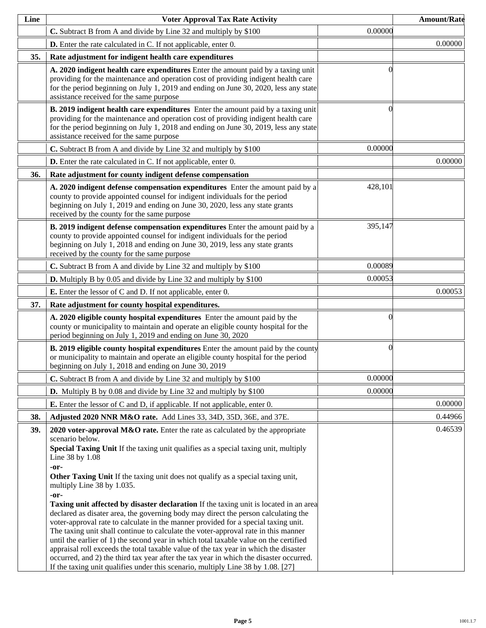| Line | <b>Voter Approval Tax Rate Activity</b>                                                                                                                                                                                                                                                                                                                                                                                                                                                                                                                                                                                                                                                                                                                                                                                                                                                                                                                                                                                                                                      |         | <b>Amount/Rate</b> |
|------|------------------------------------------------------------------------------------------------------------------------------------------------------------------------------------------------------------------------------------------------------------------------------------------------------------------------------------------------------------------------------------------------------------------------------------------------------------------------------------------------------------------------------------------------------------------------------------------------------------------------------------------------------------------------------------------------------------------------------------------------------------------------------------------------------------------------------------------------------------------------------------------------------------------------------------------------------------------------------------------------------------------------------------------------------------------------------|---------|--------------------|
|      | C. Subtract B from A and divide by Line 32 and multiply by \$100                                                                                                                                                                                                                                                                                                                                                                                                                                                                                                                                                                                                                                                                                                                                                                                                                                                                                                                                                                                                             | 0.00000 |                    |
|      | <b>D.</b> Enter the rate calculated in C. If not applicable, enter 0.                                                                                                                                                                                                                                                                                                                                                                                                                                                                                                                                                                                                                                                                                                                                                                                                                                                                                                                                                                                                        |         | 0.00000            |
| 35.  | Rate adjustment for indigent health care expenditures                                                                                                                                                                                                                                                                                                                                                                                                                                                                                                                                                                                                                                                                                                                                                                                                                                                                                                                                                                                                                        |         |                    |
|      | A. 2020 indigent health care expenditures Enter the amount paid by a taxing unit<br>providing for the maintenance and operation cost of providing indigent health care<br>for the period beginning on July 1, 2019 and ending on June 30, 2020, less any state<br>assistance received for the same purpose                                                                                                                                                                                                                                                                                                                                                                                                                                                                                                                                                                                                                                                                                                                                                                   |         |                    |
|      | B. 2019 indigent health care expenditures Enter the amount paid by a taxing unit<br>providing for the maintenance and operation cost of providing indigent health care<br>for the period beginning on July 1, 2018 and ending on June 30, 2019, less any state<br>assistance received for the same purpose                                                                                                                                                                                                                                                                                                                                                                                                                                                                                                                                                                                                                                                                                                                                                                   |         |                    |
|      | C. Subtract B from A and divide by Line 32 and multiply by \$100                                                                                                                                                                                                                                                                                                                                                                                                                                                                                                                                                                                                                                                                                                                                                                                                                                                                                                                                                                                                             | 0.00000 |                    |
|      | <b>D.</b> Enter the rate calculated in C. If not applicable, enter 0.                                                                                                                                                                                                                                                                                                                                                                                                                                                                                                                                                                                                                                                                                                                                                                                                                                                                                                                                                                                                        |         | 0.00000            |
| 36.  | Rate adjustment for county indigent defense compensation                                                                                                                                                                                                                                                                                                                                                                                                                                                                                                                                                                                                                                                                                                                                                                                                                                                                                                                                                                                                                     |         |                    |
|      | A. 2020 indigent defense compensation expenditures Enter the amount paid by a<br>county to provide appointed counsel for indigent individuals for the period<br>beginning on July 1, 2019 and ending on June 30, 2020, less any state grants<br>received by the county for the same purpose                                                                                                                                                                                                                                                                                                                                                                                                                                                                                                                                                                                                                                                                                                                                                                                  | 428,101 |                    |
|      | B. 2019 indigent defense compensation expenditures Enter the amount paid by a<br>county to provide appointed counsel for indigent individuals for the period<br>beginning on July 1, 2018 and ending on June 30, 2019, less any state grants<br>received by the county for the same purpose                                                                                                                                                                                                                                                                                                                                                                                                                                                                                                                                                                                                                                                                                                                                                                                  | 395,147 |                    |
|      | C. Subtract B from A and divide by Line 32 and multiply by \$100                                                                                                                                                                                                                                                                                                                                                                                                                                                                                                                                                                                                                                                                                                                                                                                                                                                                                                                                                                                                             | 0.00089 |                    |
|      | <b>D.</b> Multiply B by 0.05 and divide by Line 32 and multiply by \$100                                                                                                                                                                                                                                                                                                                                                                                                                                                                                                                                                                                                                                                                                                                                                                                                                                                                                                                                                                                                     | 0.00053 |                    |
|      | <b>E.</b> Enter the lessor of C and D. If not applicable, enter 0.                                                                                                                                                                                                                                                                                                                                                                                                                                                                                                                                                                                                                                                                                                                                                                                                                                                                                                                                                                                                           |         | 0.00053            |
| 37.  | Rate adjustment for county hospital expenditures.                                                                                                                                                                                                                                                                                                                                                                                                                                                                                                                                                                                                                                                                                                                                                                                                                                                                                                                                                                                                                            |         |                    |
|      | A. 2020 eligible county hospital expenditures Enter the amount paid by the<br>county or municipality to maintain and operate an eligible county hospital for the<br>period beginning on July 1, 2019 and ending on June 30, 2020                                                                                                                                                                                                                                                                                                                                                                                                                                                                                                                                                                                                                                                                                                                                                                                                                                             |         |                    |
|      | <b>B. 2019 eligible county hospital expenditures</b> Enter the amount paid by the county<br>or municipality to maintain and operate an eligible county hospital for the period<br>beginning on July 1, 2018 and ending on June 30, 2019                                                                                                                                                                                                                                                                                                                                                                                                                                                                                                                                                                                                                                                                                                                                                                                                                                      | 0       |                    |
|      | C. Subtract B from A and divide by Line 32 and multiply by \$100                                                                                                                                                                                                                                                                                                                                                                                                                                                                                                                                                                                                                                                                                                                                                                                                                                                                                                                                                                                                             | 0.00000 |                    |
|      | <b>D.</b> Multiply B by 0.08 and divide by Line 32 and multiply by \$100                                                                                                                                                                                                                                                                                                                                                                                                                                                                                                                                                                                                                                                                                                                                                                                                                                                                                                                                                                                                     | 0.00000 |                    |
|      | <b>E.</b> Enter the lessor of C and D, if applicable. If not applicable, enter 0.                                                                                                                                                                                                                                                                                                                                                                                                                                                                                                                                                                                                                                                                                                                                                                                                                                                                                                                                                                                            |         | 0.00000            |
| 38.  | Adjusted 2020 NNR M&O rate. Add Lines 33, 34D, 35D, 36E, and 37E.                                                                                                                                                                                                                                                                                                                                                                                                                                                                                                                                                                                                                                                                                                                                                                                                                                                                                                                                                                                                            |         | 0.44966            |
| 39.  | 2020 voter-approval M&O rate. Enter the rate as calculated by the appropriate<br>scenario below.<br>Special Taxing Unit If the taxing unit qualifies as a special taxing unit, multiply<br>Line 38 by 1.08<br>-or-<br>Other Taxing Unit If the taxing unit does not qualify as a special taxing unit,<br>multiply Line 38 by 1.035.<br>-or-<br><b>Taxing unit affected by disaster declaration</b> If the taxing unit is located in an area<br>declared as disater area, the governing body may direct the person calculating the<br>voter-approval rate to calculate in the manner provided for a special taxing unit.<br>The taxing unit shall continue to calculate the voter-approval rate in this manner<br>until the earlier of 1) the second year in which total taxable value on the certified<br>appraisal roll exceeds the total taxable value of the tax year in which the disaster<br>occurred, and 2) the third tax year after the tax year in which the disaster occurred.<br>If the taxing unit qualifies under this scenario, multiply Line 38 by 1.08. [27] |         | 0.46539            |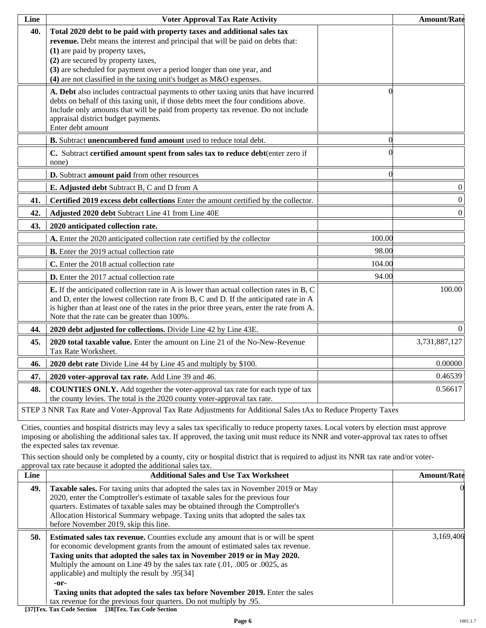| Line | <b>Voter Approval Tax Rate Activity</b>                                                                                                                                                                                                                                                                                                                                             |          | <b>Amount/Rate</b> |
|------|-------------------------------------------------------------------------------------------------------------------------------------------------------------------------------------------------------------------------------------------------------------------------------------------------------------------------------------------------------------------------------------|----------|--------------------|
| 40.  | Total 2020 debt to be paid with property taxes and additional sales tax<br>revenue. Debt means the interest and principal that will be paid on debts that:<br>(1) are paid by property taxes,<br>(2) are secured by property taxes,<br>(3) are scheduled for payment over a period longer than one year, and<br>(4) are not classified in the taxing unit's budget as M&O expenses. |          |                    |
|      | A. Debt also includes contractual payments to other taxing units that have incurred<br>debts on behalf of this taxing unit, if those debts meet the four conditions above.<br>Include only amounts that will be paid from property tax revenue. Do not include<br>appraisal district budget payments.<br>Enter debt amount                                                          |          |                    |
|      | B. Subtract unencumbered fund amount used to reduce total debt.                                                                                                                                                                                                                                                                                                                     | $\Omega$ |                    |
|      | C. Subtract certified amount spent from sales tax to reduce debt(enter zero if<br>none)                                                                                                                                                                                                                                                                                             |          |                    |
|      | D. Subtract amount paid from other resources                                                                                                                                                                                                                                                                                                                                        | 0        |                    |
|      | E. Adjusted debt Subtract B, C and D from A                                                                                                                                                                                                                                                                                                                                         |          | $\boldsymbol{0}$   |
| 41.  | Certified 2019 excess debt collections Enter the amount certified by the collector.                                                                                                                                                                                                                                                                                                 |          | $\boldsymbol{0}$   |
| 42.  | Adjusted 2020 debt Subtract Line 41 from Line 40E                                                                                                                                                                                                                                                                                                                                   |          | $\overline{0}$     |
| 43.  | 2020 anticipated collection rate.                                                                                                                                                                                                                                                                                                                                                   |          |                    |
|      | A. Enter the 2020 anticipated collection rate certified by the collector                                                                                                                                                                                                                                                                                                            | 100.00   |                    |
|      | <b>B.</b> Enter the 2019 actual collection rate                                                                                                                                                                                                                                                                                                                                     | 98.00    |                    |
|      | C. Enter the 2018 actual collection rate                                                                                                                                                                                                                                                                                                                                            | 104.00   |                    |
|      | D. Enter the 2017 actual collection rate                                                                                                                                                                                                                                                                                                                                            | 94.00    |                    |
|      | <b>E.</b> If the anticipated collection rate in A is lower than actual collection rates in B, C<br>and D, enter the lowest collection rate from B, C and D. If the anticipated rate in A<br>is higher than at least one of the rates in the prior three years, enter the rate from A.<br>Note that the rate can be greater than 100%.                                               |          | 100.00             |
| 44.  | 2020 debt adjusted for collections. Divide Line 42 by Line 43E.                                                                                                                                                                                                                                                                                                                     |          | $\overline{0}$     |
| 45.  | <b>2020 total taxable value.</b> Enter the amount on Line 21 of the No-New-Revenue<br>Tax Rate Worksheet.                                                                                                                                                                                                                                                                           |          | 3,731,887,127      |
| 46.  | 2020 debt rate Divide Line 44 by Line 45 and multiply by \$100.                                                                                                                                                                                                                                                                                                                     |          | 0.00000            |
| 47.  | 2020 voter-approval tax rate. Add Line 39 and 46.                                                                                                                                                                                                                                                                                                                                   |          | 0.46539            |
| 48.  | <b>COUNTIES ONLY.</b> Add together the voter-approval tax rate for each type of tax<br>the county levies. The total is the 2020 county voter-approval tax rate.                                                                                                                                                                                                                     |          | 0.56617            |
|      | STEP 3 NNR Tax Rate and Voter-Approval Tax Rate Adjustments for Additional Sales tAx to Reduce Property Taxes                                                                                                                                                                                                                                                                       |          |                    |

Cities, counties and hospital districts may levy a sales tax specifically to reduce property taxes. Local voters by election must approve imposing or abolishing the additional sales tax. If approved, the taxing unit must reduce its NNR and voter-approval tax rates to offset the expected sales tax revenue.

This section should only be completed by a county, city or hospital district that is required to adjust its NNR tax rate and/or voterapproval tax rate because it adopted the additional sales tax.

| Line | <b>Additional Sales and Use Tax Worksheet</b>                                                                                                                                                                                                                                                                                                                                                                                                                                                                                                             | <b>Amount/Rate</b> |
|------|-----------------------------------------------------------------------------------------------------------------------------------------------------------------------------------------------------------------------------------------------------------------------------------------------------------------------------------------------------------------------------------------------------------------------------------------------------------------------------------------------------------------------------------------------------------|--------------------|
| 49.  | <b>Taxable sales.</b> For taxing units that adopted the sales tax in November 2019 or May<br>2020, enter the Comptroller's estimate of taxable sales for the previous four<br>quarters. Estimates of taxable sales may be obtained through the Comptroller's<br>Allocation Historical Summary webpage. Taxing units that adopted the sales tax<br>before November 2019, skip this line.                                                                                                                                                                   | 0                  |
| 50.  | <b>Estimated sales tax revenue.</b> Counties exclude any amount that is or will be spent<br>for economic development grants from the amount of estimated sales tax revenue.<br>Taxing units that adopted the sales tax in November 2019 or in May 2020.<br>Multiply the amount on Line 49 by the sales tax rate (.01, .005 or .0025, as<br>applicable) and multiply the result by .95[34]<br>-or-<br>Taxing units that adopted the sales tax before November 2019. Enter the sales<br>tax revenue for the previous four quarters. Do not multiply by .95. | 3,169,406          |

**[37]Tex. Tax Code Section [38]Tex. Tax Code Section**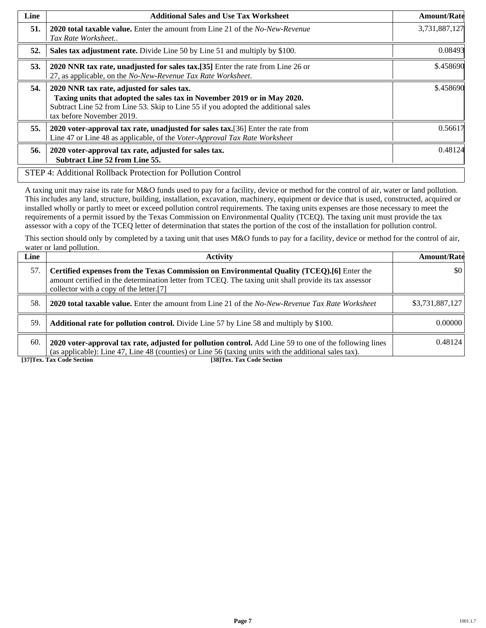| Line | <b>Additional Sales and Use Tax Worksheet</b>                                                                                                                                                                                             | <b>Amount/Rate</b> |
|------|-------------------------------------------------------------------------------------------------------------------------------------------------------------------------------------------------------------------------------------------|--------------------|
| 51.  | <b>2020 total taxable value.</b> Enter the amount from Line 21 of the <i>No-New-Revenue</i><br>Tax Rate Worksheet                                                                                                                         | 3,731,887,127      |
| 52.  | Sales tax adjustment rate. Divide Line 50 by Line 51 and multiply by \$100.                                                                                                                                                               | 0.08493            |
| 53.  | 2020 NNR tax rate, unadjusted for sales tax.[35] Enter the rate from Line 26 or<br>27, as applicable, on the No-New-Revenue Tax Rate Worksheet.                                                                                           | \$.458690          |
| 54.  | 2020 NNR tax rate, adjusted for sales tax.<br>Taxing units that adopted the sales tax in November 2019 or in May 2020.<br>Subtract Line 52 from Line 53. Skip to Line 55 if you adopted the additional sales<br>tax before November 2019. | \$.458690          |
| 55.  | 2020 voter-approval tax rate, unadjusted for sales tax. [36] Enter the rate from<br>Line 47 or Line 48 as applicable, of the Voter-Approval Tax Rate Worksheet                                                                            | 0.56617            |
| 56.  | 2020 voter-approval tax rate, adjusted for sales tax.<br><b>Subtract Line 52 from Line 55.</b>                                                                                                                                            | 0.48124            |
|      | STEP 4: Additional Rollback Protection for Pollution Control                                                                                                                                                                              |                    |

A taxing unit may raise its rate for M&O funds used to pay for a facility, device or method for the control of air, water or land pollution. This includes any land, structure, building, installation, excavation, machinery, equipment or device that is used, constructed, acquired or installed wholly or partly to meet or exceed pollution control requirements. The taxing units expenses are those necessary to meet the requirements of a permit issued by the Texas Commission on Environmental Quality (TCEQ). The taxing unit must provide the tax assessor with a copy of the TCEQ letter of determination that states the portion of the cost of the installation for pollution control.

This section should only by completed by a taxing unit that uses M&O funds to pay for a facility, device or method for the control of air, water or land pollution.

| Line | Activity                                                                                                                                                                                                                                        | <b>Amount/Rate</b> |
|------|-------------------------------------------------------------------------------------------------------------------------------------------------------------------------------------------------------------------------------------------------|--------------------|
| 57.  | Certified expenses from the Texas Commission on Environmental Quality (TCEQ).[6] Enter the<br>amount certified in the determination letter from TCEQ. The taxing unit shall provide its tax assessor<br>collector with a copy of the letter.[7] | \$0                |
| 58.  | <b>2020 total taxable value.</b> Enter the amount from Line 21 of the <i>No-New-Revenue Tax Rate Worksheet</i>                                                                                                                                  | \$3,731,887,127    |
| 59.  | <b>Additional rate for pollution control.</b> Divide Line 57 by Line 58 and multiply by \$100.                                                                                                                                                  | 0.00000            |
| 60.  | 2020 voter-approval tax rate, adjusted for pollution control. Add Line 59 to one of the following lines<br>(as applicable): Line 47, Line 48 (counties) or Line 56 (taxing units with the additional sales tax).                                | 0.48124            |
|      | [37] Tex. Tax Code Section<br>[38]Tex. Tax Code Section                                                                                                                                                                                         |                    |